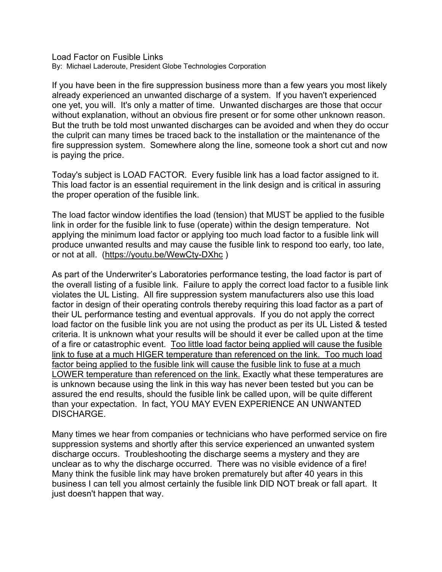Load Factor on Fusible Links By: Michael Laderoute, President Globe Technologies Corporation

If you have been in the fire suppression business more than a few years you most likely already experienced an unwanted discharge of a system. If you haven't experienced one yet, you will. It's only a matter of time. Unwanted discharges are those that occur without explanation, without an obvious fire present or for some other unknown reason. But the truth be told most unwanted discharges can be avoided and when they do occur the culprit can many times be traced back to the installation or the maintenance of the fire suppression system. Somewhere along the line, someone took a short cut and now is paying the price.

Today's subject is LOAD FACTOR. Every fusible link has a load factor assigned to it. This load factor is an essential requirement in the link design and is critical in assuring the proper operation of the fusible link.

The load factor window identifies the load (tension) that MUST be applied to the fusible link in order for the fusible link to fuse (operate) within the design temperature. Not applying the minimum load factor or applying too much load factor to a fusible link will produce unwanted results and may cause the fusible link to respond too early, too late, or not at all. (https://youtu.be/WewCty-DXhc )

As part of the Underwriter's Laboratories performance testing, the load factor is part of the overall listing of a fusible link. Failure to apply the correct load factor to a fusible link violates the UL Listing. All fire suppression system manufacturers also use this load factor in design of their operating controls thereby requiring this load factor as a part of their UL performance testing and eventual approvals. If you do not apply the correct load factor on the fusible link you are not using the product as per its UL Listed & tested criteria. It is unknown what your results will be should it ever be called upon at the time of a fire or catastrophic event. Too little load factor being applied will cause the fusible link to fuse at a much HIGER temperature than referenced on the link. Too much load factor being applied to the fusible link will cause the fusible link to fuse at a much LOWER temperature than referenced on the link. Exactly what these temperatures are is unknown because using the link in this way has never been tested but you can be assured the end results, should the fusible link be called upon, will be quite different than your expectation. In fact, YOU MAY EVEN EXPERIENCE AN UNWANTED DISCHARGE.

Many times we hear from companies or technicians who have performed service on fire suppression systems and shortly after this service experienced an unwanted system discharge occurs. Troubleshooting the discharge seems a mystery and they are unclear as to why the discharge occurred. There was no visible evidence of a fire! Many think the fusible link may have broken prematurely but after 40 years in this business I can tell you almost certainly the fusible link DID NOT break or fall apart. It just doesn't happen that way.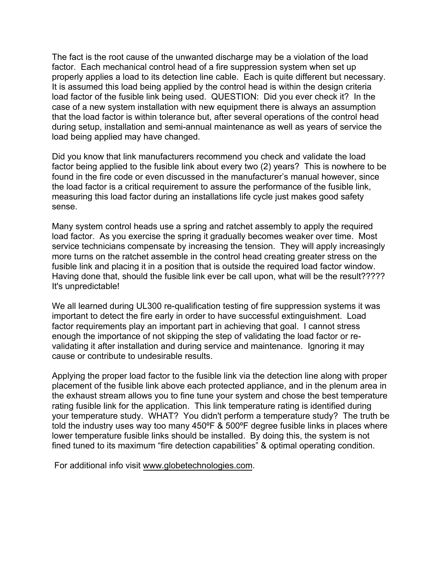The fact is the root cause of the unwanted discharge may be a violation of the load factor. Each mechanical control head of a fire suppression system when set up properly applies a load to its detection line cable. Each is quite different but necessary. It is assumed this load being applied by the control head is within the design criteria load factor of the fusible link being used. QUESTION: Did you ever check it? In the case of a new system installation with new equipment there is always an assumption that the load factor is within tolerance but, after several operations of the control head during setup, installation and semi-annual maintenance as well as years of service the load being applied may have changed.

Did you know that link manufacturers recommend you check and validate the load factor being applied to the fusible link about every two (2) years? This is nowhere to be found in the fire code or even discussed in the manufacturer's manual however, since the load factor is a critical requirement to assure the performance of the fusible link, measuring this load factor during an installations life cycle just makes good safety sense.

Many system control heads use a spring and ratchet assembly to apply the required load factor. As you exercise the spring it gradually becomes weaker over time. Most service technicians compensate by increasing the tension. They will apply increasingly more turns on the ratchet assemble in the control head creating greater stress on the fusible link and placing it in a position that is outside the required load factor window. Having done that, should the fusible link ever be call upon, what will be the result????? It's unpredictable!

We all learned during UL300 re-qualification testing of fire suppression systems it was important to detect the fire early in order to have successful extinguishment. Load factor requirements play an important part in achieving that goal. I cannot stress enough the importance of not skipping the step of validating the load factor or revalidating it after installation and during service and maintenance. Ignoring it may cause or contribute to undesirable results.

Applying the proper load factor to the fusible link via the detection line along with proper placement of the fusible link above each protected appliance, and in the plenum area in the exhaust stream allows you to fine tune your system and chose the best temperature rating fusible link for the application. This link temperature rating is identified during your temperature study. WHAT? You didn't perform a temperature study? The truth be told the industry uses way too many 450ºF & 500ºF degree fusible links in places where lower temperature fusible links should be installed. By doing this, the system is not fined tuned to its maximum "fire detection capabilities" & optimal operating condition.

For additional info visit www.globetechnologies.com.